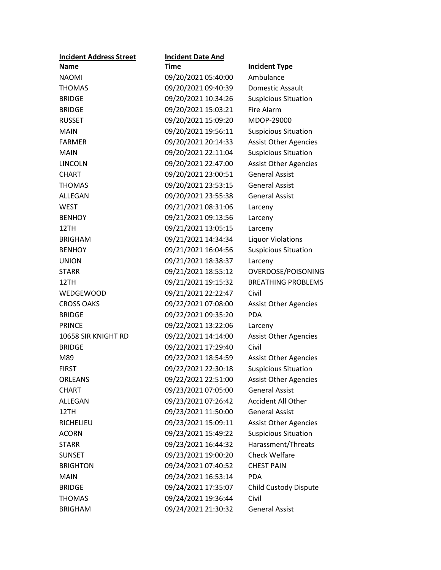| <b>Incident Address Street</b> | <b>Incident Date And</b> |                              |
|--------------------------------|--------------------------|------------------------------|
| Name                           | <b>Time</b>              | <b>Incident Type</b>         |
| <b>NAOMI</b>                   | 09/20/2021 05:40:00      | Ambulance                    |
| <b>THOMAS</b>                  | 09/20/2021 09:40:39      | Domestic Assault             |
| <b>BRIDGE</b>                  | 09/20/2021 10:34:26      | <b>Suspicious Situation</b>  |
| <b>BRIDGE</b>                  | 09/20/2021 15:03:21      | Fire Alarm                   |
| <b>RUSSET</b>                  | 09/20/2021 15:09:20      | MDOP-29000                   |
| <b>MAIN</b>                    | 09/20/2021 19:56:11      | <b>Suspicious Situation</b>  |
| <b>FARMER</b>                  | 09/20/2021 20:14:33      | <b>Assist Other Agencies</b> |
| <b>MAIN</b>                    | 09/20/2021 22:11:04      | <b>Suspicious Situation</b>  |
| <b>LINCOLN</b>                 | 09/20/2021 22:47:00      | <b>Assist Other Agencies</b> |
| <b>CHART</b>                   | 09/20/2021 23:00:51      | <b>General Assist</b>        |
| <b>THOMAS</b>                  | 09/20/2021 23:53:15      | <b>General Assist</b>        |
| ALLEGAN                        | 09/20/2021 23:55:38      | <b>General Assist</b>        |
| <b>WEST</b>                    | 09/21/2021 08:31:06      | Larceny                      |
| <b>BENHOY</b>                  | 09/21/2021 09:13:56      | Larceny                      |
| 12TH                           | 09/21/2021 13:05:15      | Larceny                      |
| <b>BRIGHAM</b>                 | 09/21/2021 14:34:34      | <b>Liquor Violations</b>     |
| <b>BENHOY</b>                  | 09/21/2021 16:04:56      | <b>Suspicious Situation</b>  |
| <b>UNION</b>                   | 09/21/2021 18:38:37      | Larceny                      |
| <b>STARR</b>                   | 09/21/2021 18:55:12      | OVERDOSE/POISONING           |
| 12TH                           | 09/21/2021 19:15:32      | <b>BREATHING PROBLEMS</b>    |
| <b>WEDGEWOOD</b>               | 09/21/2021 22:22:47      | Civil                        |
| <b>CROSS OAKS</b>              | 09/22/2021 07:08:00      | <b>Assist Other Agencies</b> |
| <b>BRIDGE</b>                  | 09/22/2021 09:35:20      | <b>PDA</b>                   |
| <b>PRINCE</b>                  | 09/22/2021 13:22:06      | Larceny                      |
| 10658 SIR KNIGHT RD            | 09/22/2021 14:14:00      | <b>Assist Other Agencies</b> |
| <b>BRIDGE</b>                  | 09/22/2021 17:29:40      | Civil                        |
| M89                            | 09/22/2021 18:54:59      | <b>Assist Other Agencies</b> |
| <b>FIRST</b>                   | 09/22/2021 22:30:18      | <b>Suspicious Situation</b>  |
| <b>ORLEANS</b>                 | 09/22/2021 22:51:00      | <b>Assist Other Agencies</b> |
| <b>CHART</b>                   | 09/23/2021 07:05:00      | <b>General Assist</b>        |
| ALLEGAN                        | 09/23/2021 07:26:42      | <b>Accident All Other</b>    |
| 12TH                           | 09/23/2021 11:50:00      | <b>General Assist</b>        |
| RICHELIEU                      | 09/23/2021 15:09:11      | <b>Assist Other Agencies</b> |
| <b>ACORN</b>                   | 09/23/2021 15:49:22      | <b>Suspicious Situation</b>  |
| <b>STARR</b>                   | 09/23/2021 16:44:32      | Harassment/Threats           |
| <b>SUNSET</b>                  | 09/23/2021 19:00:20      | <b>Check Welfare</b>         |
| <b>BRIGHTON</b>                | 09/24/2021 07:40:52      | <b>CHEST PAIN</b>            |
| <b>MAIN</b>                    | 09/24/2021 16:53:14      | <b>PDA</b>                   |
| <b>BRIDGE</b>                  | 09/24/2021 17:35:07      | Child Custody Dispute        |
| <b>THOMAS</b>                  | 09/24/2021 19:36:44      | Civil                        |
| <b>BRIGHAM</b>                 | 09/24/2021 21:30:32      | <b>General Assist</b>        |